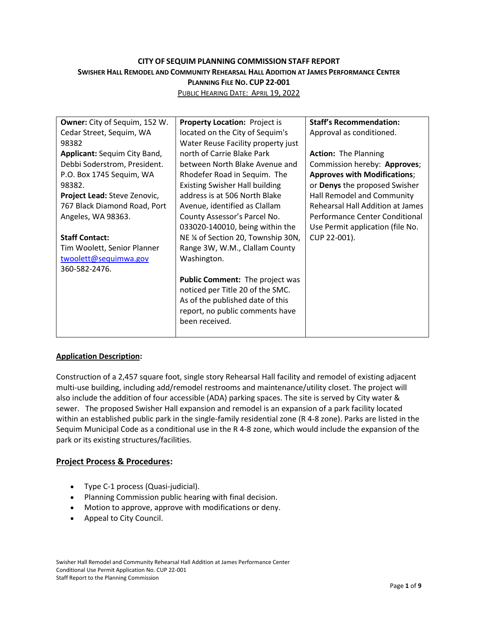# **CITY OF SEQUIM PLANNING COMMISSION STAFF REPORT** SWISHER HALL REMODEL AND COMMUNITY REHEARSAL HALL ADDITION AT JAMES PERFORMANCE CENTER **PLANNING FILE NO. CUP 22-001**

PUBLIC HEARING DATE: APRIL 19, 2022

| <b>Owner:</b> City of Sequim, 152 W. | Property Location: Project is         | <b>Staff's Recommendation:</b>      |
|--------------------------------------|---------------------------------------|-------------------------------------|
| Cedar Street, Sequim, WA             | located on the City of Sequim's       | Approval as conditioned.            |
| 98382                                | Water Reuse Facility property just    |                                     |
| Applicant: Sequim City Band,         | north of Carrie Blake Park            | <b>Action: The Planning</b>         |
| Debbi Soderstrom, President.         | between North Blake Avenue and        | Commission hereby: Approves;        |
| P.O. Box 1745 Sequim, WA             | Rhodefer Road in Sequim. The          | <b>Approves with Modifications;</b> |
| 98382.                               | <b>Existing Swisher Hall building</b> | or Denys the proposed Swisher       |
| Project Lead: Steve Zenovic,         | address is at 506 North Blake         | Hall Remodel and Community          |
| 767 Black Diamond Road, Port         | Avenue, identified as Clallam         | Rehearsal Hall Addition at James    |
| Angeles, WA 98363.                   | County Assessor's Parcel No.          | Performance Center Conditional      |
|                                      | 033020-140010, being within the       | Use Permit application (file No.    |
| <b>Staff Contact:</b>                | NE 1/4 of Section 20, Township 30N,   | CUP 22-001).                        |
| Tim Woolett, Senior Planner          | Range 3W, W.M., Clallam County        |                                     |
| twoolett@sequimwa.gov                | Washington.                           |                                     |
| 360-582-2476.                        |                                       |                                     |
|                                      | Public Comment: The project was       |                                     |
|                                      | noticed per Title 20 of the SMC.      |                                     |
|                                      | As of the published date of this      |                                     |
|                                      | report, no public comments have       |                                     |
|                                      | been received.                        |                                     |
|                                      |                                       |                                     |

## **Application Description:**

Construction of a 2,457 square foot, single story Rehearsal Hall facility and remodel of existing adjacent multi-use building, including add/remodel restrooms and maintenance/utility closet. The project will also include the addition of four accessible (ADA) parking spaces. The site is served by City water & sewer. The proposed Swisher Hall expansion and remodel is an expansion of a park facility located within an established public park in the single-family residential zone (R 4-8 zone). Parks are listed in the Sequim Municipal Code as a conditional use in the R 4-8 zone, which would include the expansion of the park or its existing structures/facilities.

#### **Project Process & Procedures:**

- Type C-1 process (Quasi-judicial).
- Planning Commission public hearing with final decision.
- Motion to approve, approve with modifications or deny.
- Appeal to City Council.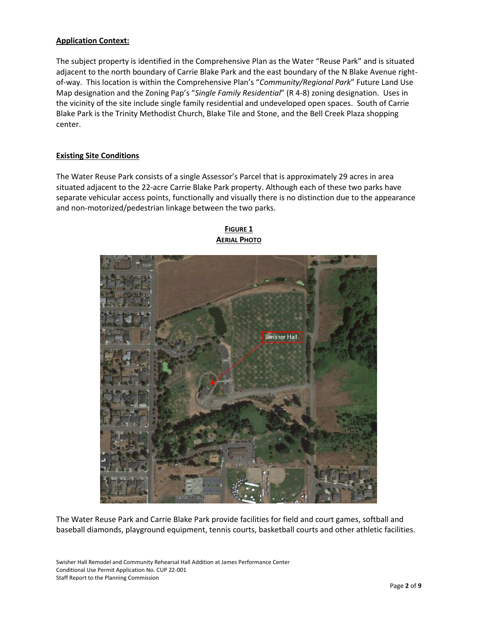## **Application Context:**

The subject property is identified in the Comprehensive Plan as the Water "Reuse Park" and is situated adjacent to the north boundary of Carrie Blake Park and the east boundary of the N Blake Avenue rightof-way. This location is within the Comprehensive Plan's "*Community/Regional Park*" Future Land Use Map designation and the Zoning Pap's "*Single Family Residential*" (R 4-8) zoning designation. Uses in the vicinity of the site include single family residential and undeveloped open spaces. South of Carrie Blake Park is the Trinity Methodist Church, Blake Tile and Stone, and the Bell Creek Plaza shopping center.

#### **Existing Site Conditions**

The Water Reuse Park consists of a single Assessor's Parcel that is approximately 29 acres in area situated adjacent to the 22-acre Carrie Blake Park property. Although each of these two parks have separate vehicular access points, functionally and visually there is no distinction due to the appearance and non-motorized/pedestrian linkage between the two parks.



**FIGURE 1 AERIAL PHOTO**

The Water Reuse Park and Carrie Blake Park provide facilities for field and court games, softball and baseball diamonds, playground equipment, tennis courts, basketball courts and other athletic facilities.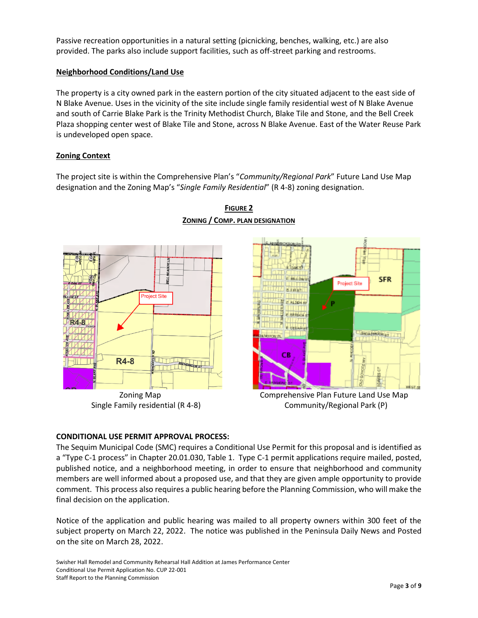Passive recreation opportunities in a natural setting (picnicking, benches, walking, etc.) are also provided. The parks also include support facilities, such as off-street parking and restrooms.

#### **Neighborhood Conditions/Land Use**

The property is a city owned park in the eastern portion of the city situated adjacent to the east side of N Blake Avenue. Uses in the vicinity of the site include single family residential west of N Blake Avenue and south of Carrie Blake Park is the Trinity Methodist Church, Blake Tile and Stone, and the Bell Creek Plaza shopping center west of Blake Tile and Stone, across N Blake Avenue. East of the Water Reuse Park is undeveloped open space.

#### **Zoning Context**

The project site is within the Comprehensive Plan's "*Community/Regional Park*" Future Land Use Map designation and the Zoning Map's "*Single Family Residential*" (R 4-8) zoning designation.







Zoning Map **Comprehensive Plan Future Land Use Map** Single Family residential (R 4-8) Community/Regional Park (P)

#### **CONDITIONAL USE PERMIT APPROVAL PROCESS:**

The Sequim Municipal Code (SMC) requires a Conditional Use Permit for this proposal and is identified as a "Type C-1 process" in Chapter 20.01.030, Table 1. Type C-1 permit applications require mailed, posted, published notice, and a neighborhood meeting, in order to ensure that neighborhood and community members are well informed about a proposed use, and that they are given ample opportunity to provide comment. This process also requires a public hearing before the Planning Commission, who will make the final decision on the application.

Notice of the application and public hearing was mailed to all property owners within 300 feet of the subject property on March 22, 2022. The notice was published in the Peninsula Daily News and Posted on the site on March 28, 2022.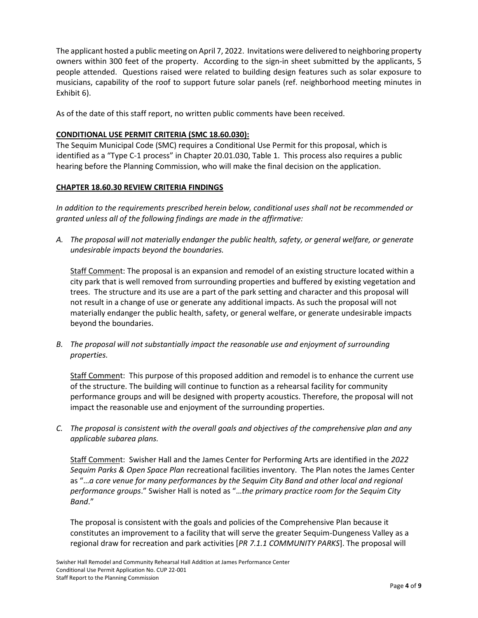The applicant hosted a public meeting on April 7, 2022. Invitations were delivered to neighboring property owners within 300 feet of the property. According to the sign-in sheet submitted by the applicants, 5 people attended. Questions raised were related to building design features such as solar exposure to musicians, capability of the roof to support future solar panels (ref. neighborhood meeting minutes in Exhibit 6).

As of the date of this staff report, no written public comments have been received.

## **CONDITIONAL USE PERMIT CRITERIA (SMC 18.60.030):**

The Sequim Municipal Code (SMC) requires a Conditional Use Permit for this proposal, which is identified as a "Type C-1 process" in Chapter 20.01.030, Table 1. This process also requires a public hearing before the Planning Commission, who will make the final decision on the application.

#### **CHAPTER 18.60.30 REVIEW CRITERIA FINDINGS**

*In addition to the requirements prescribed herein below, conditional uses shall not be recommended or granted unless all of the following findings are made in the affirmative:*

*A. The proposal will not materially endanger the public health, safety, or general welfare, or generate undesirable impacts beyond the boundaries.*

Staff Comment: The proposal is an expansion and remodel of an existing structure located within a city park that is well removed from surrounding properties and buffered by existing vegetation and trees. The structure and its use are a part of the park setting and character and this proposal will not result in a change of use or generate any additional impacts. As such the proposal will not materially endanger the public health, safety, or general welfare, or generate undesirable impacts beyond the boundaries.

*B. The proposal will not substantially impact the reasonable use and enjoyment of surrounding properties.*

Staff Comment: This purpose of this proposed addition and remodel is to enhance the current use of the structure. The building will continue to function as a rehearsal facility for community performance groups and will be designed with property acoustics. Therefore, the proposal will not impact the reasonable use and enjoyment of the surrounding properties.

*C. The proposal is consistent with the overall goals and objectives of the comprehensive plan and any applicable subarea plans.*

Staff Comment: Swisher Hall and the James Center for Performing Arts are identified in the *2022 Sequim Parks & Open Space Plan* recreational facilities inventory. The Plan notes the James Center as "…*a core venue for many performances by the Sequim City Band and other local and regional performance groups*." Swisher Hall is noted as "…*the primary practice room for the Sequim City Band*."

The proposal is consistent with the goals and policies of the Comprehensive Plan because it constitutes an improvement to a facility that will serve the greater Sequim-Dungeness Valley as a regional draw for recreation and park activities [*PR 7.1.1 COMMUNITY PARKS*]. The proposal will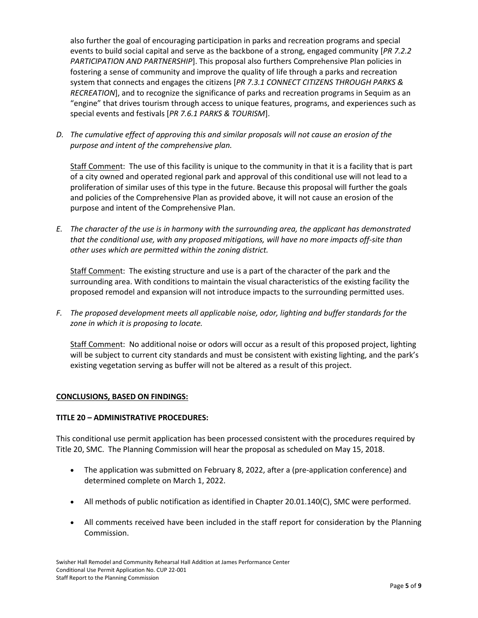also further the goal of encouraging participation in parks and recreation programs and special events to build social capital and serve as the backbone of a strong, engaged community [*PR 7.2.2 PARTICIPATION AND PARTNERSHIP*]. This proposal also furthers Comprehensive Plan policies in fostering a sense of community and improve the quality of life through a parks and recreation system that connects and engages the citizens [*PR 7.3.1 CONNECT CITIZENS THROUGH PARKS & RECREATION*], and to recognize the significance of parks and recreation programs in Sequim as an "engine" that drives tourism through access to unique features, programs, and experiences such as special events and festivals [*PR 7.6.1 PARKS & TOURISM*].

*D. The cumulative effect of approving this and similar proposals will not cause an erosion of the purpose and intent of the comprehensive plan.*

Staff Comment: The use of this facility is unique to the community in that it is a facility that is part of a city owned and operated regional park and approval of this conditional use will not lead to a proliferation of similar uses of this type in the future. Because this proposal will further the goals and policies of the Comprehensive Plan as provided above, it will not cause an erosion of the purpose and intent of the Comprehensive Plan.

*E. The character of the use is in harmony with the surrounding area, the applicant has demonstrated that the conditional use, with any proposed mitigations, will have no more impacts off-site than other uses which are permitted within the zoning district.*

Staff Comment: The existing structure and use is a part of the character of the park and the surrounding area. With conditions to maintain the visual characteristics of the existing facility the proposed remodel and expansion will not introduce impacts to the surrounding permitted uses.

*F. The proposed development meets all applicable noise, odor, lighting and buffer standards for the zone in which it is proposing to locate.* 

Staff Comment: No additional noise or odors will occur as a result of this proposed project, lighting will be subject to current city standards and must be consistent with existing lighting, and the park's existing vegetation serving as buffer will not be altered as a result of this project.

#### **CONCLUSIONS, BASED ON FINDINGS:**

#### **TITLE 20 – ADMINISTRATIVE PROCEDURES:**

This conditional use permit application has been processed consistent with the procedures required by Title 20, SMC. The Planning Commission will hear the proposal as scheduled on May 15, 2018.

- The application was submitted on February 8, 2022, after a (pre-application conference) and determined complete on March 1, 2022.
- All methods of public notification as identified in Chapter 20.01.140(C), SMC were performed.
- All comments received have been included in the staff report for consideration by the Planning Commission.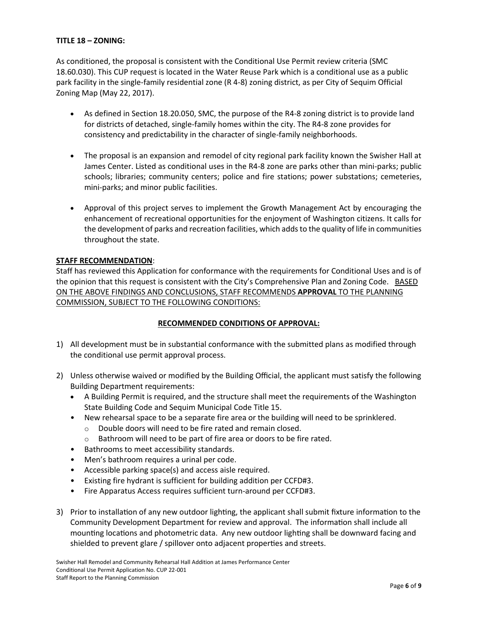#### **TITLE 18 – ZONING:**

As conditioned, the proposal is consistent with the Conditional Use Permit review criteria (SMC 18.60.030). This CUP request is located in the Water Reuse Park which is a conditional use as a public park facility in the single-family residential zone (R 4-8) zoning district, as per City of Sequim Official Zoning Map (May 22, 2017).

- As defined in Section 18.20.050, SMC, the purpose of the R4-8 zoning district is to provide land for districts of detached, single-family homes within the city. The R4-8 zone provides for consistency and predictability in the character of single-family neighborhoods.
- The proposal is an expansion and remodel of city regional park facility known the Swisher Hall at James Center. Listed as conditional uses in the R4-8 zone are parks other than mini-parks; public schools; libraries; community centers; police and fire stations; power substations; cemeteries, mini-parks; and minor public facilities.
- Approval of this project serves to implement the Growth Management Act by encouraging the enhancement of recreational opportunities for the enjoyment of Washington citizens. It calls for the development of parks and recreation facilities, which adds to the quality of life in communities throughout the state.

## **STAFF RECOMMENDATION**:

Staff has reviewed this Application for conformance with the requirements for Conditional Uses and is of the opinion that this request is consistent with the City's Comprehensive Plan and Zoning Code. BASED ON THE ABOVE FINDINGS AND CONCLUSIONS, STAFF RECOMMENDS **APPROVAL** TO THE PLANNING COMMISSION, SUBJECT TO THE FOLLOWING CONDITIONS:

#### **RECOMMENDED CONDITIONS OF APPROVAL:**

- 1) All development must be in substantial conformance with the submitted plans as modified through the conditional use permit approval process.
- 2) Unless otherwise waived or modified by the Building Official, the applicant must satisfy the following Building Department requirements:
	- A Building Permit is required, and the structure shall meet the requirements of the Washington State Building Code and Sequim Municipal Code Title 15.
	- New rehearsal space to be a separate fire area or the building will need to be sprinklered.
		- o Double doors will need to be fire rated and remain closed.
		- o Bathroom will need to be part of fire area or doors to be fire rated.
	- Bathrooms to meet accessibility standards.
	- Men's bathroom requires a urinal per code.
	- Accessible parking space(s) and access aisle required.
	- Existing fire hydrant is sufficient for building addition per CCFD#3.
	- Fire Apparatus Access requires sufficient turn-around per CCFD#3.
- 3) Prior to installation of any new outdoor lighting, the applicant shall submit fixture information to the Community Development Department for review and approval. The information shall include all mounting locations and photometric data. Any new outdoor lighting shall be downward facing and shielded to prevent glare / spillover onto adjacent properties and streets.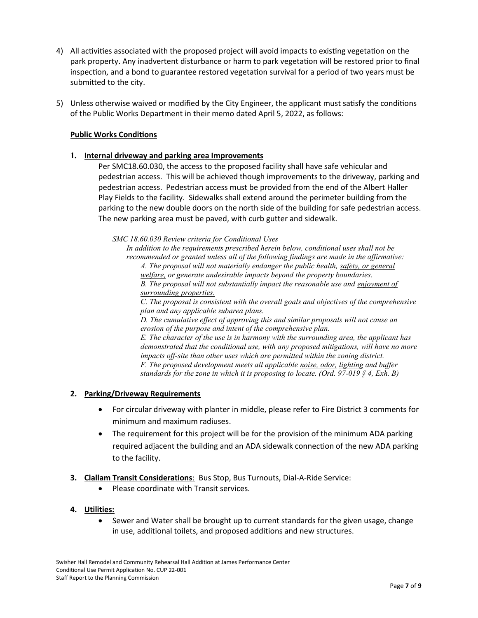- 4) All activities associated with the proposed project will avoid impacts to existing vegetation on the park property. Any inadvertent disturbance or harm to park vegetation will be restored prior to final inspection, and a bond to guarantee restored vegetation survival for a period of two years must be submitted to the city.
- 5) Unless otherwise waived or modified by the City Engineer, the applicant must satisfy the conditions of the Public Works Department in their memo dated April 5, 2022, as follows:

## **Public Works Conditions**

## **1. Internal driveway and parking area Improvements**

Per SMC18.60.030, the access to the proposed facility shall have safe vehicular and pedestrian access. This will be achieved though improvements to the driveway, parking and pedestrian access. Pedestrian access must be provided from the end of the Albert Haller Play Fields to the facility. Sidewalks shall extend around the perimeter building from the parking to the new double doors on the north side of the building for safe pedestrian access. The new parking area must be paved, with curb gutter and sidewalk.

*SMC 18.60.030 Review criteria for Conditional Uses*

*In addition to the requirements prescribed herein below, conditional uses shall not be recommended or granted unless all of the following findings are made in the affirmative:*

*A. The proposal will not materially endanger the public health, safety, or general welfare, or generate undesirable impacts beyond the property boundaries. B. The proposal will not substantially impact the reasonable use and enjoyment of surrounding properties.* 

*C. The proposal is consistent with the overall goals and objectives of the comprehensive plan and any applicable subarea plans.*

*D. The cumulative effect of approving this and similar proposals will not cause an erosion of the purpose and intent of the comprehensive plan.*

*E. The character of the use is in harmony with the surrounding area, the applicant has demonstrated that the conditional use, with any proposed mitigations, will have no more impacts off-site than other uses which are permitted within the zoning district. F. The proposed development meets all applicable noise, odor, lighting and buffer standards for the zone in which it is proposing to locate. (Ord. 97-019 § 4, Exh. B)* 

#### **2. Parking/Driveway Requirements**

- For circular driveway with planter in middle, please refer to Fire District 3 comments for minimum and maximum radiuses.
- The requirement for this project will be for the provision of the minimum ADA parking required adjacent the building and an ADA sidewalk connection of the new ADA parking to the facility.
- **3. Clallam Transit Considerations**: Bus Stop, Bus Turnouts, Dial-A-Ride Service:
	- Please coordinate with Transit services.

#### **4. Utilities:**

• Sewer and Water shall be brought up to current standards for the given usage, change in use, additional toilets, and proposed additions and new structures.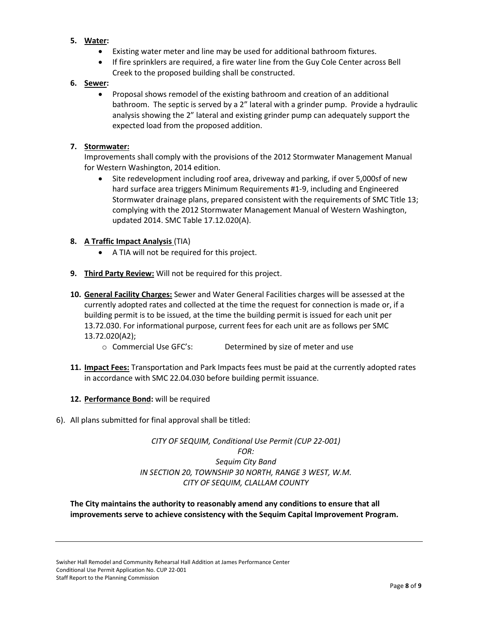- **5. Water:** 
	- Existing water meter and line may be used for additional bathroom fixtures.
	- If fire sprinklers are required, a fire water line from the Guy Cole Center across Bell Creek to the proposed building shall be constructed.

## **6. Sewer:**

• Proposal shows remodel of the existing bathroom and creation of an additional bathroom. The septic is served by a 2" lateral with a grinder pump. Provide a hydraulic analysis showing the 2" lateral and existing grinder pump can adequately support the expected load from the proposed addition.

#### **7. Stormwater:**

Improvements shall comply with the provisions of the 2012 Stormwater Management Manual for Western Washington, 2014 edition.

• Site redevelopment including roof area, driveway and parking, if over 5,000sf of new hard surface area triggers Minimum Requirements #1-9, including and Engineered Stormwater drainage plans, prepared consistent with the requirements of SMC Title 13; complying with the 2012 Stormwater Management Manual of Western Washington, updated 2014. SMC Table 17.12.020(A).

## **8. A Traffic Impact Analysis** (TIA)

- A TIA will not be required for this project.
- **9. Third Party Review:** Will not be required for this project.
- **10. General Facility Charges:** Sewer and Water General Facilities charges will be assessed at the currently adopted rates and collected at the time the request for connection is made or, if a building permit is to be issued, at the time the building permit is issued for each unit per 13.72.030. For informational purpose, current fees for each unit are as follows per SMC 13.72.020(A2);
	- o Commercial Use GFC's: Determined by size of meter and use
- **11. Impact Fees:** Transportation and Park Impacts fees must be paid at the currently adopted rates in accordance with SMC 22.04.030 before building permit issuance.

#### **12. Performance Bond:** will be required

6). All plans submitted for final approval shall be titled:

# *CITY OF SEQUIM, Conditional Use Permit (CUP 22-001) FOR: Sequim City Band IN SECTION 20, TOWNSHIP 30 NORTH, RANGE 3 WEST, W.M. CITY OF SEQUIM, CLALLAM COUNTY*

## **The City maintains the authority to reasonably amend any conditions to ensure that all improvements serve to achieve consistency with the Sequim Capital Improvement Program.**